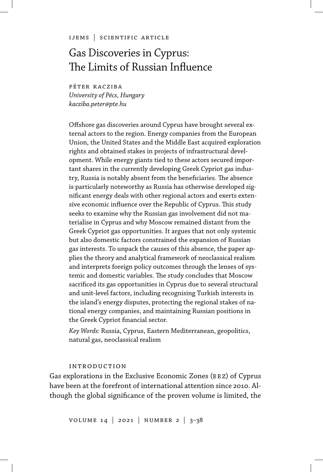ijems | scientific article

# Gas Discoveries in Cyprus: The Limits of Russian Influence

péter kacziba *University of Pécs, Hungary kacziba.peter@pte.hu*

Offshore gas discoveries around Cyprus have brought several external actors to the region. Energy companies from the European Union, the United States and the Middle East acquired exploration rights and obtained stakes in projects of infrastructural development. While energy giants tied to these actors secured important shares in the currently developing Greek Cypriot gas industry, Russia is notably absent from the beneficiaries. The absence is particularly noteworthy as Russia has otherwise developed significant energy deals with other regional actors and exerts extensive economic influence over the Republic of Cyprus. This study seeks to examine why the Russian gas involvement did not materialise in Cyprus and why Moscow remained distant from the Greek Cypriot gas opportunities. It argues that not only systemic but also domestic factors constrained the expansion of Russian gas interests. To unpack the causes of this absence, the paper applies the theory and analytical framework of neoclassical realism and interprets foreign policy outcomes through the lenses of systemic and domestic variables. The study concludes that Moscow sacrificed its gas opportunities in Cyprus due to several structural and unit-level factors, including recognising Turkish interests in the island's energy disputes, protecting the regional stakes of national energy companies, and maintaining Russian positions in the Greek Cypriot financial sector.

*Key Words:* Russia, Cyprus, Eastern Mediterranean, geopolitics, natural gas, neoclassical realism

#### introduction

Gas explorations in the Exclusive Economic Zones (EEZ) of Cyprus have been at the forefront of international attention since 2010. Although the global significance of the proven volume is limited, the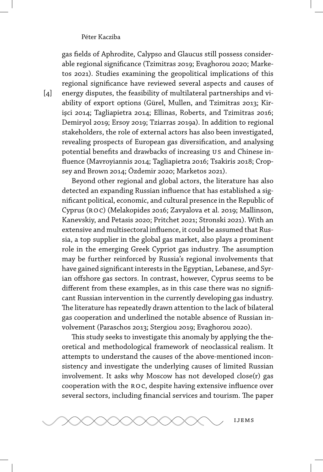gas fields of Aphrodite, Calypso and Glaucus still possess considerable regional significance (Tzimitras 2019; Evaghorou 2020; Marketos 2021). Studies examining the geopolitical implications of this regional significance have reviewed several aspects and causes of energy disputes, the feasibility of multilateral partnerships and viability of export options (Gürel, Mullen, and Tzimitras 2013; Kirişci 2014; Tagliapietra 2014; Ellinas, Roberts, and Tzimitras 2016; Demiryol 2019; Ersoy 2019; Tziarras 2019a). In addition to regional stakeholders, the role of external actors has also been investigated, revealing prospects of European gas diversification, and analysing potential benefits and drawbacks of increasing us and Chinese influence (Mavroyiannis 2014; Tagliapietra 2016; Tsakiris 2018; Cropsey and Brown 2014; Özdemir 2020; Marketos 2021).

Beyond other regional and global actors, the literature has also detected an expanding Russian influence that has established a significant political, economic, and cultural presence in the Republic of Cyprus (ROC) (Melakopides 2016; Zavyalova et al. 2019; Mallinson, Kanevskiy, and Petasis 2020; Pritchet 2021; Stronski 2021). With an extensive and multisectoral influence, it could be assumed that Russia, a top supplier in the global gas market, also plays a prominent role in the emerging Greek Cypriot gas industry. The assumption may be further reinforced by Russia's regional involvements that have gained significant interests in the Egyptian, Lebanese, and Syrian offshore gas sectors. In contrast, however, Cyprus seems to be different from these examples, as in this case there was no significant Russian intervention in the currently developing gas industry. The literature has repeatedly drawn attention to the lack of bilateral gas cooperation and underlined the notable absence of Russian involvement (Paraschos 2013; Stergiou 2019; Evaghorou 2020).

This study seeks to investigate this anomaly by applying the theoretical and methodological framework of neoclassical realism. It attempts to understand the causes of the above-mentioned inconsistency and investigate the underlying causes of limited Russian involvement. It asks why Moscow has not developed close(r) gas cooperation with the ro c, despite having extensive influence over several sectors, including financial services and tourism. The paper



 $\lceil 4 \rceil$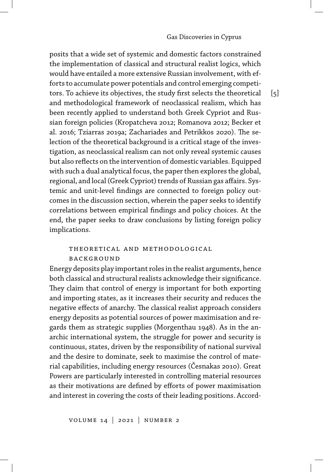posits that a wide set of systemic and domestic factors constrained the implementation of classical and structural realist logics, which would have entailed a more extensive Russian involvement, with efforts to accumulate power potentials and control emerging competitors. To achieve its objectives, the study first selects the theoretical and methodological framework of neoclassical realism, which has been recently applied to understand both Greek Cypriot and Russian foreign policies (Kropatcheva 2012; Romanova 2012; Becker et al. 2016; Tziarras 2019a; Zachariades and Petrikkos 2020). The selection of the theoretical background is a critical stage of the investigation, as neoclassical realism can not only reveal systemic causes but also reflects on the intervention of domestic variables. Equipped with such a dual analytical focus, the paper then explores the global, regional, and local (Greek Cypriot) trends of Russian gas affairs. Systemic and unit-level findings are connected to foreign policy outcomes in the discussion section, wherein the paper seeks to identify correlations between empirical findings and policy choices. At the end, the paper seeks to draw conclusions by listing foreign policy implications.

### theoretical and methodological **BACKGROUND**

Energy deposits play important roles in the realist arguments, hence both classical and structural realists acknowledge their significance. They claim that control of energy is important for both exporting and importing states, as it increases their security and reduces the negative effects of anarchy. The classical realist approach considers energy deposits as potential sources of power maximisation and regards them as strategic supplies (Morgenthau 1948). As in the anarchic international system, the struggle for power and security is continuous, states, driven by the responsibility of national survival and the desire to dominate, seek to maximise the control of material capabilities, including energy resources (Česnakas 2010). Great Powers are particularly interested in controlling material resources as their motivations are defined by efforts of power maximisation and interest in covering the costs of their leading positions. Accord-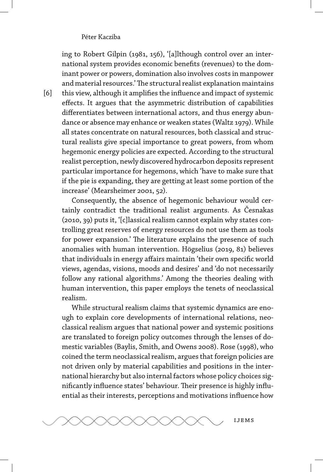ing to Robert Gilpin (1981, 156), '[a]lthough control over an international system provides economic benefits (revenues) to the dominant power or powers, domination also involves costs in manpower and material resources.'The structural realist explanation maintains this view, although it amplifies the influence and impact of systemic effects. It argues that the asymmetric distribution of capabilities differentiates between international actors, and thus energy abundance or absence may enhance or weaken states (Waltz 1979). While all states concentrate on natural resources, both classical and structural realists give special importance to great powers, from whom hegemonic energy policies are expected. According to the structural realist perception, newly discovered hydrocarbon deposits represent particular importance for hegemons, which 'have to make sure that if the pie is expanding, they are getting at least some portion of the increase' (Mearsheimer 2001, 52).

Consequently, the absence of hegemonic behaviour would certainly contradict the traditional realist arguments. As Česnakas (2010, 39) puts it, '[c]lassical realism cannot explain why states controlling great reserves of energy resources do not use them as tools for power expansion.' The literature explains the presence of such anomalies with human intervention. Högselius (2019, 81) believes that individuals in energy affairs maintain 'their own specific world views, agendas, visions, moods and desires' and 'do not necessarily follow any rational algorithms.' Among the theories dealing with human intervention, this paper employs the tenets of neoclassical realism.

While structural realism claims that systemic dynamics are enough to explain core developments of international relations, neoclassical realism argues that national power and systemic positions are translated to foreign policy outcomes through the lenses of domestic variables (Baylis, Smith, and Owens 2008). Rose (1998), who coined the term neoclassical realism, argues that foreign policies are not driven only by material capabilities and positions in the international hierarchy but also internal factors whose policy choices significantly influence states' behaviour. Their presence is highly influential as their interests, perceptions and motivations influence how



[6]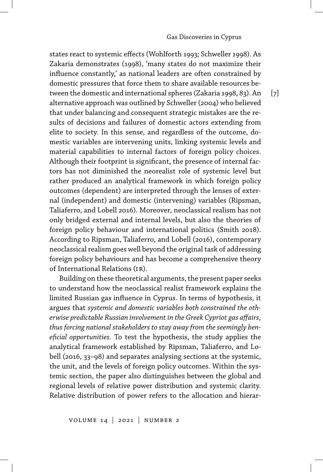$\lceil 7 \rceil$ 

states react to systemic effects (Wohlforth 1993; Schweller 1998). As Zakaria demonstrates (1998), 'many states do not maximize their influence constantly,' as national leaders are often constrained by domestic pressures that force them to share available resources between the domestic and international spheres (Zakaria 1998, 83). An alternative approach was outlined by Schweller (2004) who believed that under balancing and consequent strategic mistakes are the results of decisions and failures of domestic actors extending from elite to society. In this sense, and regardless of the outcome, domestic variables are intervening units, linking systemic levels and material capabilities to internal factors of foreign policy choices. Although their footprint is significant, the presence of internal factors has not diminished the neorealist role of systemic level but rather produced an analytical framework in which foreign policy outcomes (dependent) are interpreted through the lenses of external (independent) and domestic (intervening) variables (Ripsman, Taliaferro, and Lobell 2016). Moreover, neoclassical realism has not only bridged external and internal levels, but also the theories of foreign policy behaviour and international politics (Smith 2018). According to Ripsman, Taliaferro, and Lobell (2016), contemporary neoclassical realism goes well beyond the original task of addressing foreign policy behaviours and has become a comprehensive theory of International Relations (ir).

Building on these theoretical arguments, the present paper seeks to understand how the neoclassical realist framework explains the limited Russian gas influence in Cyprus. In terms of hypothesis, it argues that *systemic and domestic variables both constrained the otherwise predictable Russian involvement in the Greek Cypriot gas affairs, thus forcing national stakeholders to stay away from the seemingly beneficial opportunities.* To test the hypothesis, the study applies the analytical framework established by Ripsman, Taliaferro, and Lobell (2016, 33–98) and separates analysing sections at the systemic, the unit, and the levels of foreign policy outcomes. Within the systemic section, the paper also distinguishes between the global and regional levels of relative power distribution and systemic clarity. Relative distribution of power refers to the allocation and hierar-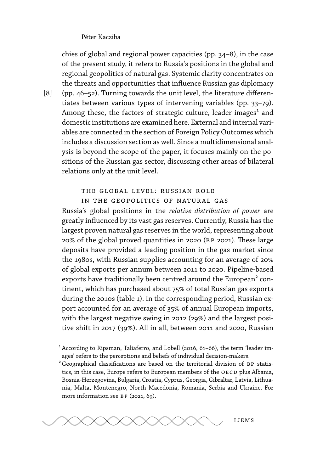chies of global and regional power capacities (pp. 34–8), in the case of the present study, it refers to Russia's positions in the global and regional geopolitics of natural gas. Systemic clarity concentrates on the threats and opportunities that influence Russian gas diplomacy (pp. 46–52). Turning towards the unit level, the literature differentiates between various types of intervening variables (pp. 33–79). Among these, the factors of strategic culture, leader images<sup>1</sup> and domestic institutions are examined here. External and internal variables are connected in the section of Foreign Policy Outcomes which includes a discussion section as well. Since a multidimensional analysis is beyond the scope of the paper, it focuses mainly on the positions of the Russian gas sector, discussing other areas of bilateral relations only at the unit level.

#### the global level: russian role

in the geopolitics of natural gas

Russia's global positions in the *relative distribution of power* are greatly influenced by its vast gas reserves. Currently, Russia has the largest proven natural gas reserves in the world, representing about 20 of the global proved quantities in 2020 (bp 2021). These large deposits have provided a leading position in the gas market since the 1980s, with Russian supplies accounting for an average of 20 of global exports per annum between 2011 to 2020. Pipeline-based exports have traditionally been centred around the European<sup>2</sup> continent, which has purchased about 75% of total Russian gas exports during the 2010s (table 1). In the corresponding period, Russian export accounted for an average of 35% of annual European imports, with the largest negative swing in 2012 (29%) and the largest positive shift in 2017 (39%). All in all, between 2011 and 2020, Russian

<sup>1</sup> According to Ripsman, Taliaferro, and Lobell (2016, 61-66), the term 'leader images' refers to the perceptions and beliefs of individual decision-makers.

 ${}^{2}$  Geographical classifications are based on the territorial division of BP statistics, in this case, Europe refers to European members of the OECD plus Albania, Bosnia-Herzegovina, Bulgaria, Croatia, Cyprus, Georgia, Gibraltar, Latvia, Lithuania, Malta, Montenegro, North Macedonia, Romania, Serbia and Ukraine. For more information see BP (2021, 69).



[8]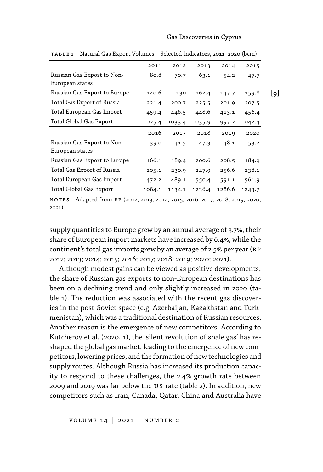#### Gas Discoveries in Cyprus

|                              | 2011   | 2012   | 2013   | 2014  | 2015   |     |
|------------------------------|--------|--------|--------|-------|--------|-----|
| Russian Gas Export to Non-   | 80.8   | 70.7   | 63.1   | 54.2  | 47.7   |     |
| European states              |        |        |        |       |        |     |
| Russian Gas Export to Europe | 140.6  | 130    | 162.4  | 147.7 | 159.8  | [9] |
| Total Gas Export of Russia   | 221.4  | 200.7  | 225.5  | 201.9 | 207.5  |     |
| Total European Gas Import    | 459.4  | 446.5  | 448.6  | 413.1 | 456.4  |     |
| Total Global Gas Export      | 1025.4 | 1033.4 | 1035.9 | 997.2 | 1042.4 |     |
|                              |        |        |        |       |        |     |
|                              | 2016   | 2017   | 2018   | 2019  | 2020   |     |
| Russian Gas Export to Non-   | 39.0   | 41.5   | 47.3   | 48.1  | 53.2   |     |
| European states              |        |        |        |       |        |     |
| Russian Gas Export to Europe | 166.1  | 189.4  | 200.6  | 208.5 | 184.9  |     |
| Total Gas Export of Russia   | 205.1  | 230.9  | 247.9  | 256.6 | 238.1  |     |
| Total European Gas Import    | 472.2  | 489.1  | 550.4  | 591.1 | 561.9  |     |

table 1 Natural Gas Export Volumes – Selected Indicators, 2011–2020 (bcm)

no tes Adapted from bp (2012; 2013; 2014; 2015; 2016; 2017; 2018; 2019; 2020; 2021).

supply quantities to Europe grew by an annual average of 3.7%, their share of European import markets have increased by 6.4%, while the continent's total gas imports grew by an average of 2.5% per year (BP 2012; 2013; 2014; 2015; 2016; 2017; 2018; 2019; 2020; 2021).

Although modest gains can be viewed as positive developments, the share of Russian gas exports to non-European destinations has been on a declining trend and only slightly increased in 2020 (table 1). The reduction was associated with the recent gas discoveries in the post-Soviet space (e.g. Azerbaijan, Kazakhstan and Turkmenistan), which was a traditional destination of Russian resources. Another reason is the emergence of new competitors. According to Kutcherov et al. (2020, 1), the 'silent revolution of shale gas' has reshaped the global gas market, leading to the emergence of new competitors, lowering prices, and the formation of new technologies and supply routes. Although Russia has increased its production capacity to respond to these challenges, the 2.4% growth rate between 2009 and 2019 was far below the us rate (table 2). In addition, new competitors such as Iran, Canada, Qatar, China and Australia have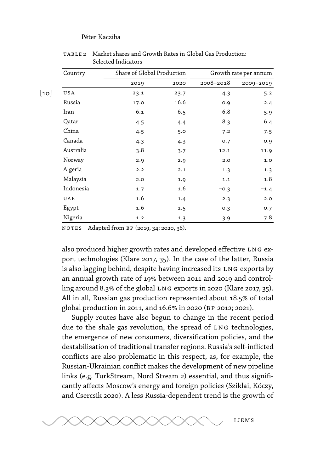| Country   |      | Share of Global Production |           | Growth rate per annum |  |  |
|-----------|------|----------------------------|-----------|-----------------------|--|--|
|           | 2019 | 2020                       | 2008-2018 | 2009-2019             |  |  |
| USA       | 23.1 | 23.7                       | 4.3       | 5.2                   |  |  |
| Russia    | 17.0 | 16.6                       | 0.9       | 2.4                   |  |  |
| Iran      | 6.1  | 6.5                        | 6.8       | 5.9                   |  |  |
| Qatar     | 4.5  | 4.4                        | 8.3       | 6.4                   |  |  |
| China     | 4.5  | 5.0                        | 7.2       | 7.5                   |  |  |
| Canada    | 4.3  | 4.3                        | 0.7       | 0.9                   |  |  |
| Australia | 3.8  | 3.7                        | 12.1      | 11.9                  |  |  |
| Norway    | 2.9  | 2.9                        | 2.0       | 1.0                   |  |  |
| Algeria   | 2.2  | 2.1                        | 1.3       | 1.3                   |  |  |
| Malaysia  | 2.0  | 1.9                        | 1.1       | 1.8                   |  |  |
| Indonesia | 1.7  | 1.6                        | $-0.3$    | $-1.4$                |  |  |
| UAE       | 1.6  | 1.4                        | 2.3       | 2.0                   |  |  |
| Egypt     | 1.6  | 1.5                        | 0.3       | 0.7                   |  |  |
| Nigeria   | 1.2  | 1.3                        | 3.9       | 7.8                   |  |  |

table 2 Market shares and Growth Rates in Global Gas Production: Selected Indicators

no tes Adapted from bp (2019, 34; 2020, 36).

also produced higher growth rates and developed effective LNG export technologies (Klare 2017, 35). In the case of the latter, Russia is also lagging behind, despite having increased its LNG exports by an annual growth rate of 19% between 2011 and 2019 and controlling around 8.3% of the global LNG exports in 2020 (Klare 2017, 35). All in all, Russian gas production represented about 18.5% of total global production in 2011, and 16.6% in 2020 (BP 2012; 2021).

Supply routes have also begun to change in the recent period due to the shale gas revolution, the spread of LNG technologies, the emergence of new consumers, diversification policies, and the destabilisation of traditional transfer regions. Russia's self-inflicted conflicts are also problematic in this respect, as, for example, the Russian-Ukrainian conflict makes the development of new pipeline links (e.g. TurkStream, Nord Stream 2) essential, and thus significantly affects Moscow's energy and foreign policies (Sziklai, Kóczy, and Csercsik 2020). A less Russia-dependent trend is the growth of

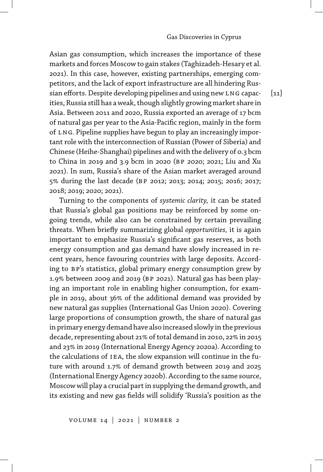Asian gas consumption, which increases the importance of these markets and forces Moscow to gain stakes (Taghizadeh-Hesary et al. 2021). In this case, however, existing partnerships, emerging competitors, and the lack of export infrastructure are all hindering Russian efforts. Despite developing pipelines and using new LNG capacities, Russia still has a weak, though slightly growing market share in Asia. Between 2011 and 2020, Russia exported an average of 17 bcm of natural gas per year to the Asia-Pacific region, mainly in the form of LNG. Pipeline supplies have begun to play an increasingly important role with the interconnection of Russian (Power of Siberia) and Chinese (Heihe-Shanghai) pipelines and with the delivery of 0.3 bcm to China in 2019 and 3.9 bcm in 2020 (bp 2020; 2021; Liu and Xu 2021). In sum, Russia's share of the Asian market averaged around 5 during the last decade (bp 2012; 2013; 2014; 2015; 2016; 2017; 2018; 2019; 2020; 2021).

Turning to the components of *systemic clarity,* it can be stated that Russia's global gas positions may be reinforced by some ongoing trends, while also can be constrained by certain prevailing threats. When briefly summarizing global *opportunities,* it is again important to emphasize Russia's significant gas reserves, as both energy consumption and gas demand have slowly increased in recent years, hence favouring countries with large deposits. According to BP's statistics, global primary energy consumption grew by 1.9% between 2009 and 2019 (BP 2021). Natural gas has been playing an important role in enabling higher consumption, for example in 2019, about 36% of the additional demand was provided by new natural gas supplies (International Gas Union 2020). Covering large proportions of consumption growth, the share of natural gas in primary energy demand have also increased slowly in the previous decade, representing about 21% of total demand in 2010, 22% in 2015 and 23% in 2019 (International Energy Agency 2020a). According to the calculations of IEA, the slow expansion will continue in the future with around 1.7% of demand growth between 2019 and 2025 (International Energy Agency 2020b). According to the same source, Moscow will play a crucial part in supplying the demand growth, and its existing and new gas fields will solidify 'Russia's position as the

 $[11]$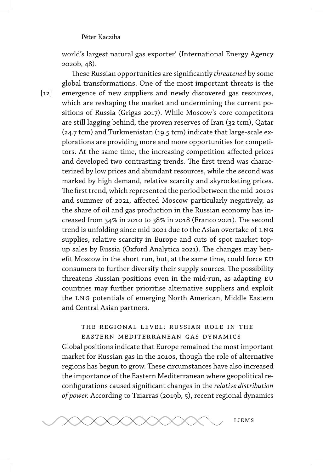world's largest natural gas exporter' (International Energy Agency 2020b, 48).

These Russian opportunities are significantly *threatened* by some global transformations. One of the most important threats is the emergence of new suppliers and newly discovered gas resources, which are reshaping the market and undermining the current positions of Russia (Grigas 2017). While Moscow's core competitors are still lagging behind, the proven reserves of Iran (32 tcm), Qatar (24.7 tcm) and Turkmenistan (19.5 tcm) indicate that large-scale explorations are providing more and more opportunities for competitors. At the same time, the increasing competition affected prices and developed two contrasting trends. The first trend was characterized by low prices and abundant resources, while the second was marked by high demand, relative scarcity and skyrocketing prices. The first trend, which represented the period between the mid-2010s and summer of 2021, affected Moscow particularly negatively, as the share of oil and gas production in the Russian economy has increased from 34% in 2010 to 38% in 2018 (Franco 2021). The second trend is unfolding since mid-2021 due to the Asian overtake of LNG supplies, relative scarcity in Europe and cuts of spot market topup sales by Russia (Oxford Analytica 2021). The changes may benefit Moscow in the short run, but, at the same time, could force EU consumers to further diversify their supply sources. The possibility threatens Russian positions even in the mid-run, as adapting EU countries may further prioritise alternative suppliers and exploit the LNG potentials of emerging North American, Middle Eastern and Central Asian partners.

## the regional level: russian role in the eastern mediterranean gas dynamics

Global positions indicate that Europe remained the most important market for Russian gas in the 2010s, though the role of alternative regions has begun to grow. These circumstances have also increased the importance of the Eastern Mediterranean where geopolitical reconfigurations caused significant changes in the *relative distribution of power.* According to Tziarras (2019b, 5), recent regional dynamics



 $\lceil 12 \rceil$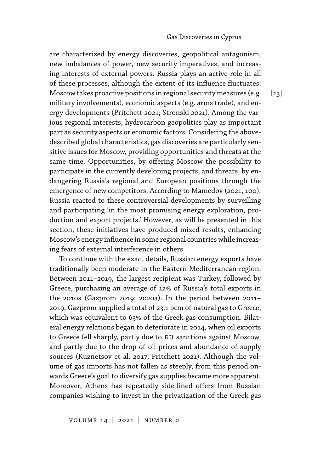are characterized by energy discoveries, geopolitical antagonism, new imbalances of power, new security imperatives, and increasing interests of external powers. Russia plays an active role in all of these processes, although the extent of its influence fluctuates. Moscow takes proactive positions in regional security measures (e.g. military involvements), economic aspects (e.g. arms trade), and energy developments (Pritchett 2021; Stronski 2021). Among the various regional interests, hydrocarbon geopolitics play as important part as security aspects or economic factors. Considering the abovedescribed global characteristics, gas discoveries are particularly sensitive issues for Moscow, providing opportunities and threats at the same time. Opportunities, by offering Moscow the possibility to participate in the currently developing projects, and threats, by endangering Russia's regional and European positions through the emergence of new competitors. According to Mamedov (2021, 100), Russia reacted to these controversial developments by surveilling and participating 'in the most promising energy exploration, production and export projects.' However, as will be presented in this section, these initiatives have produced mixed results, enhancing Moscow's energy influence in some regional countries while increasing fears of external interference in others.

To continue with the exact details, Russian energy exports have traditionally been moderate in the Eastern Mediterranean region. Between 2011–2019, the largest recipient was Turkey, followed by Greece, purchasing an average of 12% of Russia's total exports in the 2010s (Gazprom 2019; 2020a). In the period between 2011– 2019, Gazprom supplied a total of 23.1 bcm of natural gas to Greece, which was equivalent to 63% of the Greek gas consumption. Bilateral energy relations began to deteriorate in 2014, when oil exports to Greece fell sharply, partly due to EU sanctions against Moscow, and partly due to the drop of oil prices and abundance of supply sources (Kuznetsov et al. 2017; Pritchett 2021). Although the volume of gas imports has not fallen as steeply, from this period onwards Greece's goal to diversify gas supplies became more apparent. Moreover, Athens has repeatedly side-lined offers from Russian companies wishing to invest in the privatization of the Greek gas

 $\lceil 13 \rceil$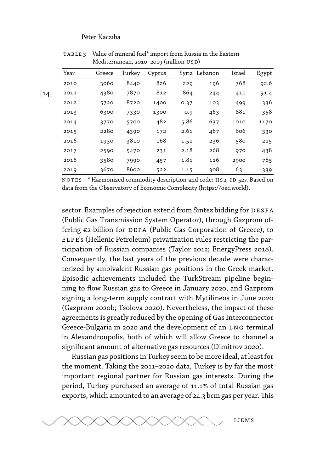| Syria Lebanon | Cyprus | Turkey | Greece | Year |
|---------------|--------|--------|--------|------|
| 196<br>229    | 826    | 8440   | 3060   | 2010 |
| 864<br>244    | 812    | 7870   | 4380   | 2011 |
| 0.37<br>103   | 1400   | 8720   | 5720   | 2012 |
| 463<br>O.9    | 1300   | 7330   | 6300   | 2013 |
| 5.86<br>637   | 482    | 5700   | 3770   | 2014 |
| 487<br>2.61   | 172    | 4390   | 2280   | 2015 |
| 236<br>1.51   | 168    | 3810   | 1930   | 2016 |
| 268<br>2.18   | 231    | 5470   | 2590   | 2017 |
| 1.81<br>116   | 457    | 7990   | 3580   | 2018 |
| 308<br>1.15   | 522    | 8600   | 3670   | 2019 |

table 3 Value of mineral fuel\* import from Russia in the Eastern Mediterranean, 2010–2019 (million USD)

NOTES \* Harmonized commodity description and code: HS2, ID 527. Based on data from the Observatory of Economic Complexity (https://oec.world).

sector. Examples of rejection extend from Sintez bidding for DESFA (Public Gas Transmission System Operator), through Gazprom offering €2 billion for DEPA (Public Gas Corporation of Greece), to elpe's (Hellenic Petroleum) privatization rules restricting the participation of Russian companies (Taylor 2012; EnergyPress 2018). Consequently, the last years of the previous decade were characterized by ambivalent Russian gas positions in the Greek market. Episodic achievements included the TurkStream pipeline beginning to flow Russian gas to Greece in January 2020, and Gazprom signing a long-term supply contract with Mytilineos in June 2020 (Gazprom 2020b; Tsolova 2020). Nevertheless, the impact of these agreements is greatly reduced by the opening of Gas Interconnector Greece-Bulgaria in 2020 and the development of an LNG terminal in Alexandroupolis, both of which will allow Greece to channel a significant amount of alternative gas resources (Dimitrov 2020).

Russian gas positions in Turkey seem to be more ideal, at least for the moment. Taking the 2011–2020 data, Turkey is by far the most important regional partner for Russian gas interests. During the period, Turkey purchased an average of 11.1% of total Russian gas exports, which amounted to an average of 24.3 bcm gas per year.This

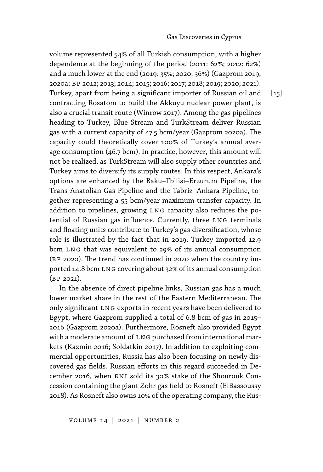volume represented 54% of all Turkish consumption, with a higher dependence at the beginning of the period (2011: 62%; 2012: 62%) and a much lower at the end (2019: 35%; 2020: 36%) (Gazprom 2019; 2020a; bp 2012; 2013; 2014; 2015; 2016; 2017; 2018; 2019; 2020; 2021). Turkey, apart from being a significant importer of Russian oil and contracting Rosatom to build the Akkuyu nuclear power plant, is also a crucial transit route (Winrow 2017). Among the gas pipelines heading to Turkey, Blue Stream and TurkStream deliver Russian gas with a current capacity of 47.5 bcm/year (Gazprom 2020a). The capacity could theoretically cover 100% of Turkey's annual average consumption (46.7 bcm). In practice, however, this amount will not be realized, as TurkStream will also supply other countries and Turkey aims to diversify its supply routes. In this respect, Ankara's options are enhanced by the Baku–Tbilisi–Erzurum Pipeline, the Trans-Anatolian Gas Pipeline and the Tabriz–Ankara Pipeline, together representing a 55 bcm/year maximum transfer capacity. In addition to pipelines, growing LNG capacity also reduces the potential of Russian gas influence. Currently, three LNG terminals and floating units contribute to Turkey's gas diversification, whose role is illustrated by the fact that in 2019, Turkey imported 12.9 bcm LNG that was equivalent to 29% of its annual consumption (bp 2020). The trend has continued in 2020 when the country imported 14.8 bcm LNG covering about 32% of its annual consumption  $(BP 2021)$ .

In the absence of direct pipeline links, Russian gas has a much lower market share in the rest of the Eastern Mediterranean. The only significant LNG exports in recent years have been delivered to Egypt, where Gazprom supplied a total of 6.8 bcm of gas in 2015– 2016 (Gazprom 2020a). Furthermore, Rosneft also provided Egypt with a moderate amount of LNG purchased from international markets (Kazmin 2016; Soldatkin 2017). In addition to exploiting commercial opportunities, Russia has also been focusing on newly discovered gas fields. Russian efforts in this regard succeeded in December 2016, when ENI sold its 30% stake of the Shourouk Concession containing the giant Zohr gas field to Rosneft (ElBassoussy 2018). As Rosneft also owns 10% of the operating company, the Rus-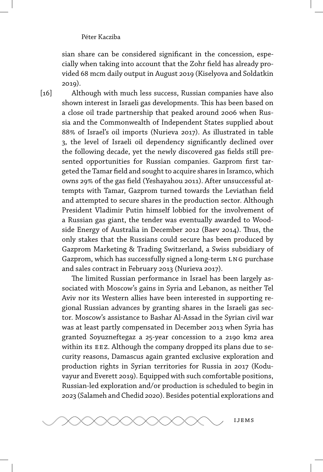sian share can be considered significant in the concession, especially when taking into account that the Zohr field has already provided 68 mcm daily output in August 2019 (Kiselyova and Soldatkin 2019).

 $\lceil 16 \rceil$ 

Although with much less success, Russian companies have also shown interest in Israeli gas developments. This has been based on a close oil trade partnership that peaked around 2006 when Russia and the Commonwealth of Independent States supplied about 88 of Israel's oil imports (Nurieva 2017). As illustrated in table 3, the level of Israeli oil dependency significantly declined over the following decade, yet the newly discovered gas fields still presented opportunities for Russian companies. Gazprom first targeted the Tamar field and sought to acquire shares in Isramco, which owns 29% of the gas field (Yeshayahou 2011). After unsuccessful attempts with Tamar, Gazprom turned towards the Leviathan field and attempted to secure shares in the production sector. Although President Vladimir Putin himself lobbied for the involvement of a Russian gas giant, the tender was eventually awarded to Woodside Energy of Australia in December 2012 (Baev 2014). Thus, the only stakes that the Russians could secure has been produced by Gazprom Marketing & Trading Switzerland, a Swiss subsidiary of Gazprom, which has successfully signed a long-term LNG purchase and sales contract in February 2013 (Nurieva 2017).

The limited Russian performance in Israel has been largely associated with Moscow's gains in Syria and Lebanon, as neither Tel Aviv nor its Western allies have been interested in supporting regional Russian advances by granting shares in the Israeli gas sector. Moscow's assistance to Bashar Al-Assad in the Syrian civil war was at least partly compensated in December 2013 when Syria has granted Soyuzneftegaz a 25-year concession to a 2190 km2 area within its EEZ. Although the company dropped its plans due to security reasons, Damascus again granted exclusive exploration and production rights in Syrian territories for Russia in 2017 (Koduvayur and Everett 2019). Equipped with such comfortable positions, Russian-led exploration and/or production is scheduled to begin in 2023 (Salameh and Chedid 2020). Besides potential explorations and

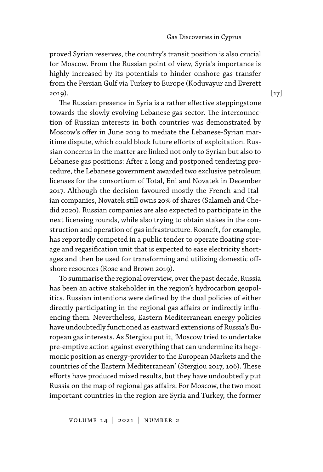proved Syrian reserves, the country's transit position is also crucial for Moscow. From the Russian point of view, Syria's importance is highly increased by its potentials to hinder onshore gas transfer from the Persian Gulf via Turkey to Europe (Koduvayur and Everett 2019).

The Russian presence in Syria is a rather effective steppingstone towards the slowly evolving Lebanese gas sector. The interconnection of Russian interests in both countries was demonstrated by Moscow's offer in June 2019 to mediate the Lebanese-Syrian maritime dispute, which could block future efforts of exploitation. Russian concerns in the matter are linked not only to Syrian but also to Lebanese gas positions: After a long and postponed tendering procedure, the Lebanese government awarded two exclusive petroleum licenses for the consortium of Total, Eni and Novatek in December 2017. Although the decision favoured mostly the French and Italian companies, Novatek still owns 20% of shares (Salameh and Chedid 2020). Russian companies are also expected to participate in the next licensing rounds, while also trying to obtain stakes in the construction and operation of gas infrastructure. Rosneft, for example, has reportedly competed in a public tender to operate floating storage and regasification unit that is expected to ease electricity shortages and then be used for transforming and utilizing domestic offshore resources (Rose and Brown 2019).

To summarise the regional overview, over the past decade, Russia has been an active stakeholder in the region's hydrocarbon geopolitics. Russian intentions were defined by the dual policies of either directly participating in the regional gas affairs or indirectly influencing them. Nevertheless, Eastern Mediterranean energy policies have undoubtedly functioned as eastward extensions of Russia's European gas interests. As Stergiou put it, 'Moscow tried to undertake pre-emptive action against everything that can undermine its hegemonic position as energy-provider to the European Markets and the countries of the Eastern Mediterranean' (Stergiou 2017, 106). These efforts have produced mixed results, but they have undoubtedly put Russia on the map of regional gas affairs. For Moscow, the two most important countries in the region are Syria and Turkey, the former

 $[17]$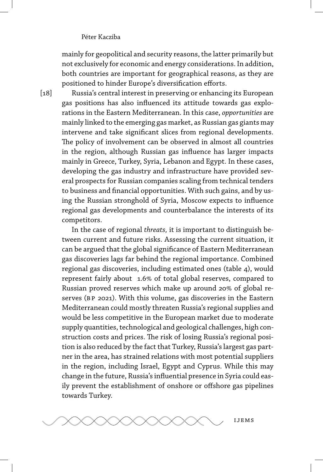mainly for geopolitical and security reasons, the latter primarily but not exclusively for economic and energy considerations. In addition, both countries are important for geographical reasons, as they are positioned to hinder Europe's diversification efforts.

Russia's central interest in preserving or enhancing its European gas positions has also influenced its attitude towards gas explorations in the Eastern Mediterranean. In this case, *opportunities* are mainly linked to the emerging gas market, as Russian gas giants may intervene and take significant slices from regional developments. The policy of involvement can be observed in almost all countries in the region, although Russian gas influence has larger impacts mainly in Greece, Turkey, Syria, Lebanon and Egypt. In these cases, developing the gas industry and infrastructure have provided several prospects for Russian companies scaling from technical tenders to business and financial opportunities. With such gains, and by using the Russian stronghold of Syria, Moscow expects to influence regional gas developments and counterbalance the interests of its competitors.

In the case of regional *threats,* it is important to distinguish between current and future risks. Assessing the current situation, it can be argued that the global significance of Eastern Mediterranean gas discoveries lags far behind the regional importance. Combined regional gas discoveries, including estimated ones (table 4), would represent fairly about 1.6% of total global reserves, compared to Russian proved reserves which make up around 20% of global reserves (BP 2021). With this volume, gas discoveries in the Eastern Mediterranean could mostly threaten Russia's regional supplies and would be less competitive in the European market due to moderate supply quantities, technological and geological challenges, high construction costs and prices. The risk of losing Russia's regional position is also reduced by the fact that Turkey, Russia's largest gas partner in the area, has strained relations with most potential suppliers in the region, including Israel, Egypt and Cyprus. While this may change in the future, Russia's influential presence in Syria could easily prevent the establishment of onshore or offshore gas pipelines towards Turkey.



 $\lceil 18 \rceil$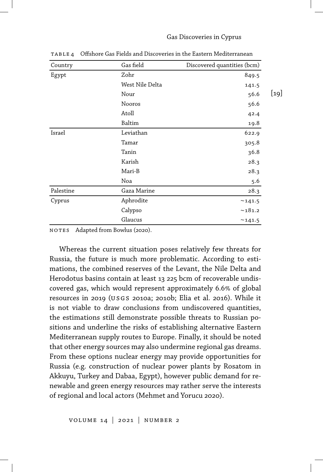#### Gas Discoveries in Cyprus

| Country   | Gas field       | Discovered quantities (bcm) |  |
|-----------|-----------------|-----------------------------|--|
| Egypt     | Zohr            | 849.5                       |  |
|           | West Nile Delta | 141.5                       |  |
|           | Nour            | $[19]$<br>56.6              |  |
|           | Nooros          | 56.6                        |  |
|           | Atoll           | 42.4                        |  |
|           | <b>Baltim</b>   | 19.8                        |  |
| Israel    | Leviathan       | 622.9                       |  |
|           | Tamar           | 305.8                       |  |
|           | Tanin           | 36.8                        |  |
|           | Karish          | 28.3                        |  |
|           | Mari-B          | 28.3                        |  |
|           | Noa             | 5.6                         |  |
| Palestine | Gaza Marine     | 28.3                        |  |
| Cyprus    | Aphrodite       | ~141.5                      |  |
|           | Calypso         | ~181.2                      |  |
|           | Glaucus         | ~141.5                      |  |

TABLE 4 Offshore Gas Fields and Discoveries in the Eastern Mediterranean

NOTES Adapted from Bowlus (2020).

Whereas the current situation poses relatively few threats for Russia, the future is much more problematic. According to estimations, the combined reserves of the Levant, the Nile Delta and Herodotus basins contain at least 13 225 bcm of recoverable undiscovered gas, which would represent approximately 6.6% of global resources in 2019 (usgs 2010a; 2010b; Elia et al. 2016). While it is not viable to draw conclusions from undiscovered quantities, the estimations still demonstrate possible threats to Russian positions and underline the risks of establishing alternative Eastern Mediterranean supply routes to Europe. Finally, it should be noted that other energy sources may also undermine regional gas dreams. From these options nuclear energy may provide opportunities for Russia (e.g. construction of nuclear power plants by Rosatom in Akkuyu, Turkey and Dabaa, Egypt), however public demand for renewable and green energy resources may rather serve the interests of regional and local actors (Mehmet and Yorucu 2020).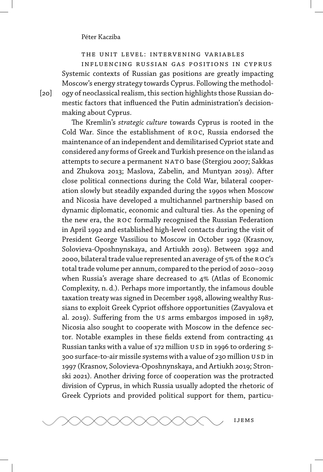the unit level: intervening variables

influencing russian gas positions in cyprus Systemic contexts of Russian gas positions are greatly impacting Moscow's energy strategy towards Cyprus. Following the methodology of neoclassical realism, this section highlights those Russian domestic factors that influenced the Putin administration's decisionmaking about Cyprus.

The Kremlin's *strategic culture* towards Cyprus is rooted in the Cold War. Since the establishment of ROC, Russia endorsed the maintenance of an independent and demilitarised Cypriot state and considered any forms of Greek and Turkish presence on the island as attempts to secure a permanent NATO base (Stergiou 2007; Sakkas and Zhukova 2013; Maslova, Zabelin, and Muntyan 2019). After close political connections during the Cold War, bilateral cooperation slowly but steadily expanded during the 1990s when Moscow and Nicosia have developed a multichannel partnership based on dynamic diplomatic, economic and cultural ties. As the opening of the new era, the ROC formally recognised the Russian Federation in April 1992 and established high-level contacts during the visit of President George Vassiliou to Moscow in October 1992 (Krasnov, Solovieva-Oposhnynskaya, and Artiukh 2019). Between 1992 and 2000, bilateral trade value represented an average of 5% of the ROC's total trade volume per annum, compared to the period of 2010–2019 when Russia's average share decreased to 4% (Atlas of Economic Complexity, n. d.). Perhaps more importantly, the infamous double taxation treaty was signed in December 1998, allowing wealthy Russians to exploit Greek Cypriot offshore opportunities (Zavyalova et al. 2019). Suffering from the us arms embargos imposed in 1987, Nicosia also sought to cooperate with Moscow in the defence sector. Notable examples in these fields extend from contracting 41 Russian tanks with a value of 172 million USD in 1996 to ordering S-300 surface-to-air missile systems with a value of 230 million USD in 1997 (Krasnov, Solovieva-Oposhnynskaya, and Artiukh 2019; Stronski 2021). Another driving force of cooperation was the protracted division of Cyprus, in which Russia usually adopted the rhetoric of Greek Cypriots and provided political support for them, particu-



 $[20]$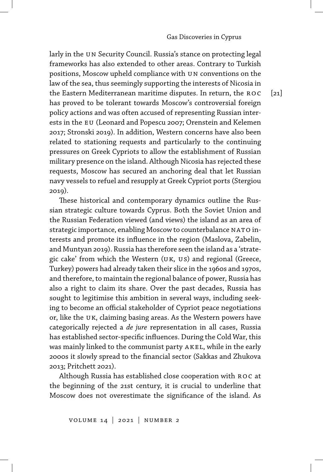larly in the UN Security Council. Russia's stance on protecting legal frameworks has also extended to other areas. Contrary to Turkish positions, Moscow upheld compliance with un conventions on the law of the sea, thus seemingly supporting the interests of Nicosia in the Eastern Mediterranean maritime disputes. In return, the ROC has proved to be tolerant towards Moscow's controversial foreign policy actions and was often accused of representing Russian interests in the EU (Leonard and Popescu 2007; Orenstein and Kelemen 2017; Stronski 2019). In addition, Western concerns have also been related to stationing requests and particularly to the continuing pressures on Greek Cypriots to allow the establishment of Russian military presence on the island. Although Nicosia has rejected these requests, Moscow has secured an anchoring deal that let Russian navy vessels to refuel and resupply at Greek Cypriot ports (Stergiou 2019).

These historical and contemporary dynamics outline the Russian strategic culture towards Cyprus. Both the Soviet Union and the Russian Federation viewed (and views) the island as an area of strategic importance, enabling Moscow to counterbalance NATO interests and promote its influence in the region (Maslova, Zabelin, and Muntyan 2019). Russia has therefore seen the island as a 'strategic cake' from which the Western (uk, us) and regional (Greece, Turkey) powers had already taken their slice in the 1960s and 1970s, and therefore, to maintain the regional balance of power, Russia has also a right to claim its share. Over the past decades, Russia has sought to legitimise this ambition in several ways, including seeking to become an official stakeholder of Cypriot peace negotiations or, like the uk, claiming basing areas. As the Western powers have categorically rejected a *de jure* representation in all cases, Russia has established sector-specific influences. During the Cold War, this was mainly linked to the communist party akel, while in the early 2000s it slowly spread to the financial sector (Sakkas and Zhukova 2013; Pritchett 2021).

Although Russia has established close cooperation with ROC at the beginning of the 21st century, it is crucial to underline that Moscow does not overestimate the significance of the island. As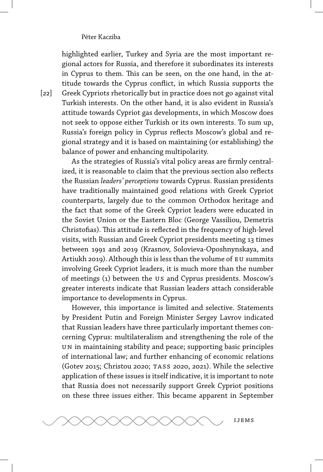highlighted earlier, Turkey and Syria are the most important regional actors for Russia, and therefore it subordinates its interests in Cyprus to them. This can be seen, on the one hand, in the attitude towards the Cyprus conflict, in which Russia supports the Greek Cypriots rhetorically but in practice does not go against vital Turkish interests. On the other hand, it is also evident in Russia's attitude towards Cypriot gas developments, in which Moscow does not seek to oppose either Turkish or its own interests. To sum up, Russia's foreign policy in Cyprus reflects Moscow's global and regional strategy and it is based on maintaining (or establishing) the balance of power and enhancing multipolarity.

As the strategies of Russia's vital policy areas are firmly centralized, it is reasonable to claim that the previous section also reflects the Russian *leaders' perceptions* towards Cyprus. Russian presidents have traditionally maintained good relations with Greek Cypriot counterparts, largely due to the common Orthodox heritage and the fact that some of the Greek Cypriot leaders were educated in the Soviet Union or the Eastern Bloc (George Vassiliou, Demetris Christofias). This attitude is reflected in the frequency of high-level visits, with Russian and Greek Cypriot presidents meeting 13 times between 1991 and 2019 (Krasnov, Solovieva-Oposhnynskaya, and Artiukh 2019). Although this is less than the volume of eu summits involving Greek Cypriot leaders, it is much more than the number of meetings (1) between the us and Cyprus presidents. Moscow's greater interests indicate that Russian leaders attach considerable importance to developments in Cyprus.

However, this importance is limited and selective. Statements by President Putin and Foreign Minister Sergey Lavrov indicated that Russian leaders have three particularly important themes concerning Cyprus: multilateralism and strengthening the role of the un in maintaining stability and peace; supporting basic principles of international law; and further enhancing of economic relations (Gotev 2015; Christou 2020; tass 2020, 2021). While the selective application of these issues is itself indicative, it is important to note that Russia does not necessarily support Greek Cypriot positions on these three issues either. This became apparent in September



 $\lceil 22 \rceil$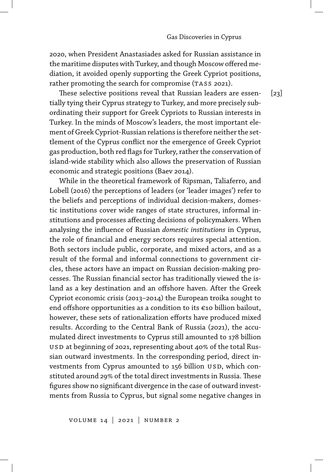2020, when President Anastasiades asked for Russian assistance in the maritime disputes with Turkey, and though Moscow offered mediation, it avoided openly supporting the Greek Cypriot positions, rather promoting the search for compromise (TASS 2021).

These selective positions reveal that Russian leaders are essentially tying their Cyprus strategy to Turkey, and more precisely subordinating their support for Greek Cypriots to Russian interests in Turkey. In the minds of Moscow's leaders, the most important element of Greek Cypriot-Russian relations is therefore neither the settlement of the Cyprus conflict nor the emergence of Greek Cypriot gas production, both red flags for Turkey, rather the conservation of island-wide stability which also allows the preservation of Russian economic and strategic positions (Baev 2014).

While in the theoretical framework of Ripsman, Taliaferro, and Lobell (2016) the perceptions of leaders (or 'leader images') refer to the beliefs and perceptions of individual decision-makers, domestic institutions cover wide ranges of state structures, informal institutions and processes affecting decisions of policymakers. When analysing the influence of Russian *domestic institutions* in Cyprus, the role of financial and energy sectors requires special attention. Both sectors include public, corporate, and mixed actors, and as a result of the formal and informal connections to government circles, these actors have an impact on Russian decision-making processes. The Russian financial sector has traditionally viewed the island as a key destination and an offshore haven. After the Greek Cypriot economic crisis (2013–2014) the European troika sought to end offshore opportunities as a condition to its €10 billion bailout, however, these sets of rationalization efforts have produced mixed results. According to the Central Bank of Russia (2021), the accumulated direct investments to Cyprus still amounted to 178 billion us D at beginning of 2021, representing about 40% of the total Russian outward investments. In the corresponding period, direct investments from Cyprus amounted to 156 billion USD, which constituted around 29% of the total direct investments in Russia. These figures show no significant divergence in the case of outward investments from Russia to Cyprus, but signal some negative changes in

volume 14 | 2021 | number 2

[23]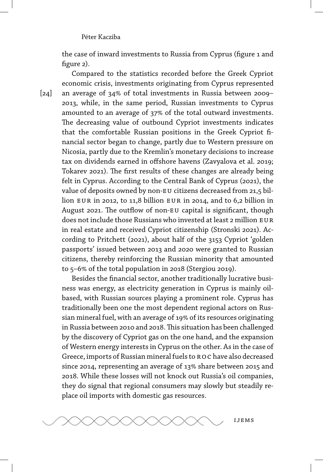the case of inward investments to Russia from Cyprus (figure 1 and figure 2).

Compared to the statistics recorded before the Greek Cypriot economic crisis, investments originating from Cyprus represented an average of 34% of total investments in Russia between 2009-2013, while, in the same period, Russian investments to Cyprus amounted to an average of 37% of the total outward investments. The decreasing value of outbound Cypriot investments indicates that the comfortable Russian positions in the Greek Cypriot financial sector began to change, partly due to Western pressure on Nicosia, partly due to the Kremlin's monetary decisions to increase tax on dividends earned in offshore havens (Zavyalova et al. 2019; Tokarev 2021). The first results of these changes are already being felt in Cyprus. According to the Central Bank of Cyprus (2021), the value of deposits owned by non-EU citizens decreased from 21,5 billion eur in 2012, to 11,8 billion eur in 2014, and to 6,2 billion in August 2021. The outflow of non-eu capital is significant, though does not include those Russians who invested at least 2 million EUR in real estate and received Cypriot citizenship (Stronski 2021). According to Pritchett (2021), about half of the 3153 Cypriot 'golden passports' issued between 2013 and 2020 were granted to Russian citizens, thereby reinforcing the Russian minority that amounted to 5-6% of the total population in 2018 (Stergiou 2019).

Besides the financial sector, another traditionally lucrative business was energy, as electricity generation in Cyprus is mainly oilbased, with Russian sources playing a prominent role. Cyprus has traditionally been one the most dependent regional actors on Russian mineral fuel, with an average of 19% of its resources originating in Russia between 2010 and 2018.This situation has been challenged by the discovery of Cypriot gas on the one hand, and the expansion of Western energy interests in Cyprus on the other. As in the case of Greece, imports of Russian mineral fuels to ROC have also decreased since 2014, representing an average of 13% share between 2015 and 2018. While these losses will not knock out Russia's oil companies, they do signal that regional consumers may slowly but steadily replace oil imports with domestic gas resources.



 $[24]$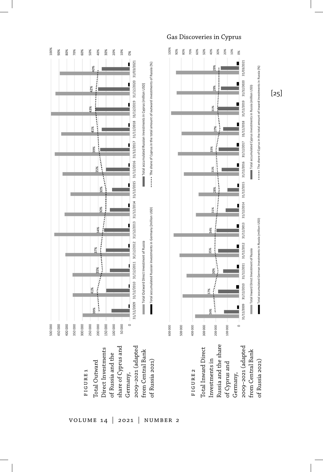

#### Gas Discoveries in Cyprus

0%



[25]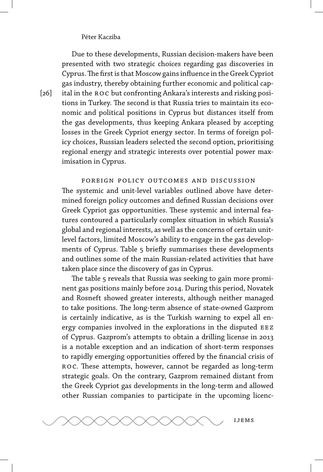Due to these developments, Russian decision-makers have been presented with two strategic choices regarding gas discoveries in Cyprus.The first is that Moscow gains influence in the Greek Cypriot gas industry, thereby obtaining further economic and political capital in the roc but confronting Ankara's interests and risking positions in Turkey. The second is that Russia tries to maintain its economic and political positions in Cyprus but distances itself from the gas developments, thus keeping Ankara pleased by accepting losses in the Greek Cypriot energy sector. In terms of foreign policy choices, Russian leaders selected the second option, prioritising regional energy and strategic interests over potential power maximisation in Cyprus.

foreign policy outcomes and discussion The systemic and unit-level variables outlined above have determined foreign policy outcomes and defined Russian decisions over Greek Cypriot gas opportunities. These systemic and internal features contoured a particularly complex situation in which Russia's global and regional interests, as well as the concerns of certain unitlevel factors, limited Moscow's ability to engage in the gas developments of Cyprus. Table 5 briefly summarises these developments and outlines some of the main Russian-related activities that have taken place since the discovery of gas in Cyprus.

The table 5 reveals that Russia was seeking to gain more prominent gas positions mainly before 2014. During this period, Novatek and Rosneft showed greater interests, although neither managed to take positions. The long-term absence of state-owned Gazprom is certainly indicative, as is the Turkish warning to expel all energy companies involved in the explorations in the disputed EEZ of Cyprus. Gazprom's attempts to obtain a drilling license in 2013 is a notable exception and an indication of short-term responses to rapidly emerging opportunities offered by the financial crisis of ro c. These attempts, however, cannot be regarded as long-term strategic goals. On the contrary, Gazprom remained distant from the Greek Cypriot gas developments in the long-term and allowed other Russian companies to participate in the upcoming licenc-

[26]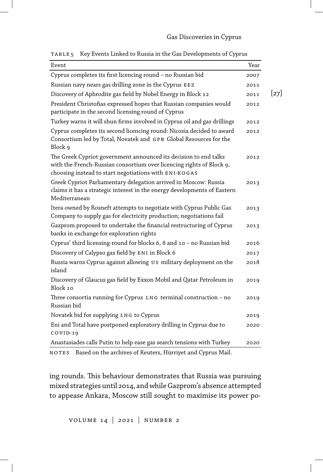| Event                                                                                                                                                                                             | Year |
|---------------------------------------------------------------------------------------------------------------------------------------------------------------------------------------------------|------|
| Cyprus completes its first licencing round - no Russian bid                                                                                                                                       | 2007 |
| Russian navy nears gas drilling zone in the Cyprus EEZ                                                                                                                                            | 2011 |
| Discovery of Aphrodite gas field by Nobel Energy in Block 12                                                                                                                                      | 2011 |
| President Christofias expressed hopes that Russian companies would<br>participate in the second licensing round of Cyprus                                                                         | 2012 |
| Turkey warns it will shun firms involved in Cyprus oil and gas drillings                                                                                                                          | 2012 |
| Cyprus completes its second licencing round: Nicosia decided to award<br>Consortium led by Total, Novatek and GPB Global Resources for the<br>Block 9                                             | 2012 |
| The Greek Cypriot government announced its decision to end talks<br>with the French-Russian consortium over licencing rights of Block 9,<br>choosing instead to start negotiations with ENI-KOGAS | 2012 |
| Greek Cypriot Parliamentary delegation arrived in Moscow: Russia<br>claims it has a strategic interest in the energy developments of Eastern<br>Mediterranean                                     | 2013 |
| Itera owned by Rosneft attempts to negotiate with Cyprus Public Gas<br>Company to supply gas for electricity production; negotiations fail                                                        | 2013 |
| Gazprom proposed to undertake the financial restructuring of Cyprus<br>banks in exchange for exploration rights                                                                                   | 2013 |
| Cyprus' third licensing-round for blocks 6, 8 and 10 - no Russian bid                                                                                                                             | 2016 |
| Discovery of Calypso gas field by ENI in Block 6                                                                                                                                                  | 2017 |
| Russia warns Cyprus against allowing US military deployment on the<br>island                                                                                                                      | 2018 |
| Discovery of Glaucus gas field by Exxon Mobil and Qatar Petroleum in<br>Block 10                                                                                                                  | 2019 |
| Three consortia running for Cyprus LNG terminal construction - no<br>Russian bid                                                                                                                  | 2019 |
| Novatek bid for supplying LNG to Cyprus                                                                                                                                                           | 2019 |
| Eni and Total have postponed exploratory drilling in Cyprus due to<br>COVID-19                                                                                                                    | 2020 |
| Anastasiades calls Putin to help ease gas search tensions with Turkey                                                                                                                             | 2020 |

table 5 Key Events Linked to Russia in the Gas Developments of Cyprus

NOTES Based on the archives of Reuters, Hürriyet and Cyprus Mail.

ing rounds. This behaviour demonstrates that Russia was pursuing mixed strategies until 2014, and while Gazprom's absence attempted to appease Ankara, Moscow still sought to maximise its power po-

volume 14 | 2021 | number 2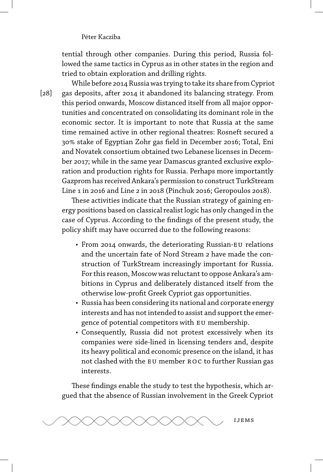tential through other companies. During this period, Russia followed the same tactics in Cyprus as in other states in the region and tried to obtain exploration and drilling rights.

While before 2014 Russia was trying to take its share from Cypriot gas deposits, after 2014 it abandoned its balancing strategy. From this period onwards, Moscow distanced itself from all major opportunities and concentrated on consolidating its dominant role in the economic sector. It is important to note that Russia at the same time remained active in other regional theatres: Rosneft secured a 30 stake of Egyptian Zohr gas field in December 2016; Total, Eni and Novatek consortium obtained two Lebanese licenses in December 2017; while in the same year Damascus granted exclusive exploration and production rights for Russia. Perhaps more importantly Gazprom has received Ankara's permission to construct TurkStream Line 1 in 2016 and Line 2 in 2018 (Pinchuk 2016; Geropoulos 2018).

These activities indicate that the Russian strategy of gaining energy positions based on classical realist logic has only changed in the case of Cyprus. According to the findings of the present study, the policy shift may have occurred due to the following reasons:

- From 2014 onwards, the deteriorating Russian-EU relations and the uncertain fate of Nord Stream 2 have made the construction of TurkStream increasingly important for Russia. For this reason, Moscow was reluctant to oppose Ankara's ambitions in Cyprus and deliberately distanced itself from the otherwise low-profit Greek Cypriot gas opportunities.
- Russia has been considering its national and corporate energy interests and has not intended to assist and support the emergence of potential competitors with eu membership.
- Consequently, Russia did not protest excessively when its companies were side-lined in licensing tenders and, despite its heavy political and economic presence on the island, it has not clashed with the EU member ROC to further Russian gas interests.

These findings enable the study to test the hypothesis, which argued that the absence of Russian involvement in the Greek Cypriot



[28]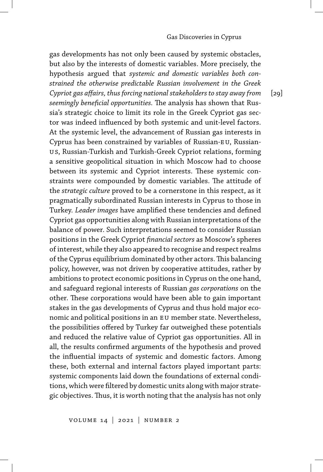gas developments has not only been caused by systemic obstacles, but also by the interests of domestic variables. More precisely, the hypothesis argued that *systemic and domestic variables both constrained the otherwise predictable Russian involvement in the Greek Cypriot gas affairs, thus forcing national stakeholders to stay away from seemingly beneficial opportunities.* The analysis has shown that Russia's strategic choice to limit its role in the Greek Cypriot gas sector was indeed influenced by both systemic and unit-level factors. At the systemic level, the advancement of Russian gas interests in Cyprus has been constrained by variables of Russian-EU, Russianus, Russian-Turkish and Turkish-Greek Cypriot relations, forming a sensitive geopolitical situation in which Moscow had to choose between its systemic and Cypriot interests. These systemic constraints were compounded by domestic variables. The attitude of the *strategic culture* proved to be a cornerstone in this respect, as it pragmatically subordinated Russian interests in Cyprus to those in Turkey. *Leader images* have amplified these tendencies and defined Cypriot gas opportunities along with Russian interpretations of the balance of power. Such interpretations seemed to consider Russian positions in the Greek Cypriot *financial sectors* as Moscow's spheres of interest, while they also appeared to recognise and respect realms of the Cyprus equilibrium dominated by other actors.This balancing policy, however, was not driven by cooperative attitudes, rather by ambitions to protect economic positions in Cyprus on the one hand, and safeguard regional interests of Russian *gas corporations* on the other. These corporations would have been able to gain important stakes in the gas developments of Cyprus and thus hold major economic and political positions in an EU member state. Nevertheless, the possibilities offered by Turkey far outweighed these potentials and reduced the relative value of Cypriot gas opportunities. All in all, the results confirmed arguments of the hypothesis and proved the influential impacts of systemic and domestic factors. Among these, both external and internal factors played important parts: systemic components laid down the foundations of external conditions, which were filtered by domestic units along with major strategic objectives. Thus, it is worth noting that the analysis has not only

 $[29]$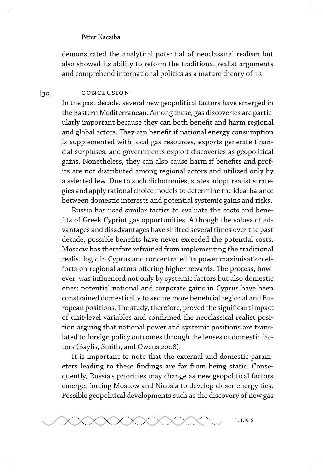demonstrated the analytical potential of neoclassical realism but also showed its ability to reform the traditional realist arguments and comprehend international politics as a mature theory of IR.

#### $[30]$ conclusion

In the past decade, several new geopolitical factors have emerged in the Eastern Mediterranean. Among these, gas discoveries are particularly important because they can both benefit and harm regional and global actors. They can benefit if national energy consumption is supplemented with local gas resources, exports generate financial surpluses, and governments exploit discoveries as geopolitical gains. Nonetheless, they can also cause harm if benefits and profits are not distributed among regional actors and utilized only by a selected few. Due to such dichotomies, states adopt realist strategies and apply rational choice models to determine the ideal balance between domestic interests and potential systemic gains and risks.

Russia has used similar tactics to evaluate the costs and benefits of Greek Cypriot gas opportunities. Although the values of advantages and disadvantages have shifted several times over the past decade, possible benefits have never exceeded the potential costs. Moscow has therefore refrained from implementing the traditional realist logic in Cyprus and concentrated its power maximisation efforts on regional actors offering higher rewards. The process, however, was influenced not only by systemic factors but also domestic ones: potential national and corporate gains in Cyprus have been constrained domestically to secure more beneficial regional and European positions.The study, therefore, proved the significant impact of unit-level variables and confirmed the neoclassical realist position arguing that national power and systemic positions are translated to foreign policy outcomes through the lenses of domestic factors (Baylis, Smith, and Owens 2008).

It is important to note that the external and domestic parameters leading to these findings are far from being static. Consequently, Russia's priorities may change as new geopolitical factors emerge, forcing Moscow and Nicosia to develop closer energy ties. Possible geopolitical developments such as the discovery of new gas

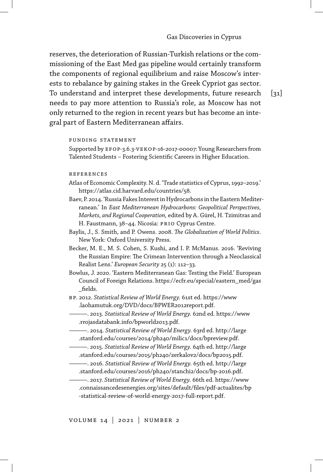reserves, the deterioration of Russian-Turkish relations or the commissioning of the East Med gas pipeline would certainly transform the components of regional equilibrium and raise Moscow's interests to rebalance by gaining stakes in the Greek Cypriot gas sector. To understand and interpret these developments, future research needs to pay more attention to Russia's role, as Moscow has not only returned to the region in recent years but has become an integral part of Eastern Mediterranean affairs.

 $\lceil 31 \rceil$ 

#### funding statement

Supported by EFOP-3.6.3-VEKOP-16-2017-00007: Young Researchers from Talented Students – Fostering Scientific Careers in Higher Education.

#### references

- Atlas of Economic Complexity. N. d. 'Trade statistics of Cyprus, 1992–2019.' https://atlas.cid.harvard.edu/countries/58.
- Baev, P. 2014. 'Russia Fakes Interest in Hydrocarbons in the Eastern Mediterranean.' In *East Mediterranean Hydrocarbons: Geopolitical Perspectives, Markets, and Regional Cooperation,* edited by A. Gürel, H. Tzimitras and H. Faustmann, 38-44. Nicosia: PRIO Cyprus Centre.
- Baylis, J., S. Smith, and P. Owens. 2008. *The Globalization of World Politics.* New York: Oxford University Press.
- Becker, M. E., M. S. Cohen, S. Kushi, and I. P. McManus. 2016. 'Reviving the Russian Empire: The Crimean Intervention through a Neoclassical Realist Lens.' *European Security* 25 (1): 112–33.
- Bowlus, J. 2020. 'Eastern Mediterranean Gas: Testing the Field.' European Council of Foreign Relations. https://ecfr.eu/special/eastern\_med/gas \_fields.
- bp. 2012. *Statistical Review of World Energy.* 61st ed. https://www .laohamutuk.org/DVD/docs/BPWER2012report.pdf.
	- ———. 2013. *Statistical Review of World Energy.* 62nd ed. https://www .rrojasdatabank.info/bpworld2013.pdf.
	- ———. 2014. *Statistical Review of World Energy.* 63rd ed. http://large .stanford.edu/courses/2014/ph240/milic1/docs/bpreview.pdf.
	- ———. 2015. *Statistical Review of World Energy.* 64th ed. http://large .stanford.edu/courses/2015/ph240/zerkalov2/docs/bp2015.pdf.
	- ———. 2016. *Statistical Review of World Energy.* 65th ed. http://large .stanford.edu/courses/2016/ph240/stanchi2/docs/bp-2016.pdf.
- ———. 2017. *Statistical Review of World Energy.* 66th ed. https://www .connaissancedesenergies.org/sites/default/files/pdf-actualites/bp -statistical-review-of-world-energy-2017-full-report.pdf.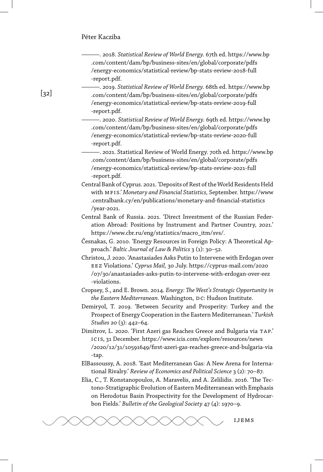———. 2018. *Statistical Review of World Energy.* 67th ed. https://www.bp .com/content/dam/bp/business-sites/en/global/corporate/pdfs /energy-economics/statistical-review/bp-stats-review-2018-full -report.pdf.

———. 2019. *Statistical Review of World Energy.* 68th ed. https://www.bp .com/content/dam/bp/business-sites/en/global/corporate/pdfs /energy-economics/statistical-review/bp-stats-review-2019-full -report.pdf.

———. 2020. *Statistical Review of World Energy.* 69th ed. https://www.bp .com/content/dam/bp/business-sites/en/global/corporate/pdfs /energy-economics/statistical-review/bp-stats-review-2020-full -report.pdf.

———. 2021. Statistical Review of World Energy. 70th ed. https://www.bp .com/content/dam/bp/business-sites/en/global/corporate/pdfs /energy-economics/statistical-review/bp-stats-review-2021-full -report.pdf.

Central Bank of Cyprus. 2021. 'Deposits of Rest of theWorld Residents Held with mfis.' *Monetary and Financial Statistics,* September. https://www .centralbank.cy/en/publications/monetary-and-financial-statistics /year-2021.

Central Bank of Russia. 2021. 'Direct Investment of the Russian Federation Abroad: Positions by Instrument and Partner Country, 2021.' https://www.cbr.ru/eng/statistics/macro\_itm/svs/.

Česnakas, G. 2010. 'Energy Resources in Foreign Policy: A Theoretical Approach.' *Baltic Journal of Law & Politics* 3 (1): 30–52.

Christou, J. 2020. 'Anastasiades Asks Putin to Intervene with Erdogan over eez Violations.' *Cyprus Mail,* 30 July. https://cyprus-mail.com/2020 /07/30/anastasiades-asks-putin-to-intervene-with-erdogan-over-eez -violations.

Cropsey, S., and E. Brown. 2014. *Energy: The West's Strategic Opportunity in the Eastern Mediterranean.* Washington, DC: Hudson Institute.

Demiryol, T. 2019. 'Between Security and Prosperity: Turkey and the Prospect of Energy Cooperation in the Eastern Mediterranean.' *Turkish Studies* 20 (3): 442–64.

Dimitrov, L. 2020. 'First Azeri gas Reaches Greece and Bulgaria via TAP.' icis, 31 December. https://www.icis.com/explore/resources/news /2020/12/31/10591649/first-azeri-gas-reaches-greece-and-bulgaria-via -tap.

ElBassoussy, A. 2018. 'East Mediterranean Gas: A New Arena for International Rivalry.' *Review of Economics and Political Science* 3 (2): 70–87.

Elia, C., T. Konstanopoulos, A. Maravelis, and A. Zelilidis. 2016. 'The Tectono-Stratigraphic Evolution of Eastern Mediterranean with Emphasis on Herodotus Basin Prospectivity for the Development of Hydrocarbon Fields.' *Bulletin of the Geological Society* 47 (4): 1970–9.



 $[32]$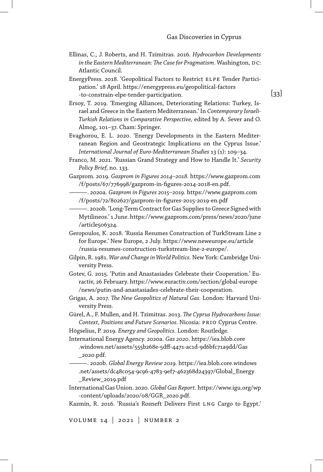- Ellinas, C., J. Roberts, and H. Tzimitras. 2016. *Hydrocarbon Developments* in the Eastern Mediterranean: The Case for Pragmatism. Washington, DC: Atlantic Council.
- EnergyPress. 2018. 'Geopolitical Factors to Restrict elpe Tender Participation.' 18 April. https://energypress.eu/geopolitical-factors -to-constrain-elpe-tender-participation.
- Ersoy, T. 2019. 'Emerging Alliances, Deteriorating Relations: Turkey, Israel and Greece in the Eastern Mediterranean.' In *Contemporary Israeli-Turkish Relations in Comparative Perspective,* edited by A. Sever and O. Almog, 101–37. Cham: Springer.
- Evaghorou, E. L. 2020. 'Energy Developments in the Eastern Mediterranean Region and Geostrategic Implications on the Cyprus Issue.' *International Journal of Euro-Mediterranean Studies* 13 (1): 109–34.
- Franco, M. 2021. 'Russian Grand Strategy and How to Handle It.' *Security Policy Brief,* no. 133.
- Gazprom. 2019. *Gazprom in Figures 2014–2018.* https://www.gazprom.com /f/posts/67/776998/gazprom-in-figures-2014-2018-en.pdf.
	- ———. 2020a. *Gazprom in Figures 2015–2019.* https://www.gazprom.com /f/posts/72/802627/gazprom-in-figures-2015-2019-en.pdf
	- ———. 2020b. 'Long-Term Contract for Gas Supplies to Greece Signed with Mytilineos.' 1 June. https://www.gazprom.com/press/news/2020/june /article506324.
- Geropoulos, K. 2018. 'Russia Resumes Construction of TurkStream Line 2 for Europe.' New Europe, 2 July. https://www.neweurope.eu/article /russia-resumes-construction-turkstream-line-2-europe/.
- Gilpin, R. 1981. *War and Change in World Politics.* New York: Cambridge University Press.
- Gotev, G. 2015. 'Putin and Anastasiades Celebrate their Cooperation.' Euractiv, 26 February. https://www.euractiv.com/section/global-europe /news/putin-and-anastasiades-celebrate-their-cooperation.
- Grigas, A. 2017. *The New Geopolitics of Natural Gas.* London: Harvard University Press.
- Gürel, A., F. Mullen, and H. Tzimitras. 2013. *The Cyprus Hydrocarbons Issue:* Context, Positions and Future Scenarios. Nicosia: PRIO Cyprus Centre.
- Högselius, P. 2019. *Energy and Geopolitics.* London: Routledge.

International Energy Agency. 2020a. *Gas 2020.* https://iea.blob.core .windows.net/assets/555b268e-5dff-4471-ac1d-9d6bfc71a9dd/Gas \_2020.pdf.

- ———. 2020b. *Global Energy Review 2019.* https://iea.blob.core.windows .net/assets/dc48c054-9c96-4783-9ef7-462368d24397/Global\_Energy \_Review\_2019.pdf
- International Gas Union. 2020. *Global Gas Report.* https://www.igu.org/wp -content/uploads/2020/08/GGR\_2020.pdf.
- Kazmin, R. 2016. 'Russia's Rosneft Delivers First lng Cargo to Egypt.'

volume 14 | 2021 | number 2

[33]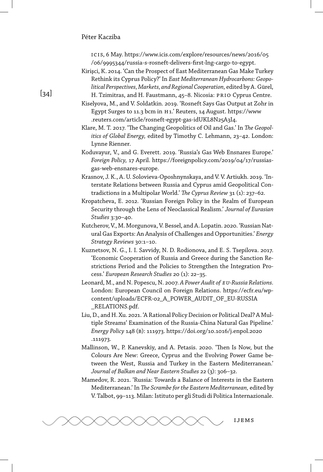icis, 6 May. https://www.icis.com/explore/resources/news/2016/05 /06/9995344/russia-s-rosneft-delivers-first-lng-cargo-to-egypt.

- Kirişci, K. 2014. 'Can the Prospect of East Mediterranean Gas Make Turkey Rethink its Cyprus Policy?' In *East Mediterranean Hydrocarbons: Geopolitical Perspectives,Markets, and Regional Cooperation,* edited by A. Gürel, H. Tzimitras, and H. Faustmann, 45-8. Nicosia: PRIO Cyprus Centre.
- Kiselyova, M., and V. Soldatkin. 2019. 'Rosneft Says Gas Output at Zohr in Egypt Surges to 11.3 bcm in H1.' Reuters, 14 August. https://www .reuters.com/article/rosneft-egypt-gas-idUKL8N25A3I4.
- Klare, M. T. 2017. 'The Changing Geopolitics of Oil and Gas.' In *The Geopolitics of Global Energy,* edited by Timothy C. Lehmann, 23–42. London: Lynne Rienner.
- Koduvayur, V., and G. Everett. 2019. 'Russia's Gas Web Ensnares Europe.' *Foreign Policy,* 17 April. https://foreignpolicy.com/2019/04/17/russiasgas-web-ensnares-europe.
- Krasnov, J. K., A. U. Solovieva-Oposhnynskaya, and V. V. Artiukh. 2019. 'Interstate Relations between Russia and Cyprus amid Geopolitical Contradictions in a Multipolar World.' *The Cyprus Review* 31 (1): 237–62.
- Kropatcheva, E. 2012. 'Russian Foreign Policy in the Realm of European Security through the Lens of Neoclassical Realism.' *Journal of Eurasian Studies* 3:30–40.
- Kutcherov, V., M. Morgunova, V. Bessel, and A. Lopatin. 2020. 'Russian Natural Gas Exports: An Analysis of Challenges and Opportunities.' *Energy Strategy Reviews* 30:1–10.
- Kuznetsov, N. G., I. I. Savvidy, N. D. Rodionova, and E. S. Tsepilova. 2017. 'Economic Cooperation of Russia and Greece during the Sanction Restrictions Period and the Policies to Strengthen the Integration Process.' *European Research Studies* 20 (1): 22–35.
- Leonard, M., and N. Popescu, N. 2007. *A Power Audit of eu-Russia Relations.* London: European Council on Foreign Relations. https://ecfr.eu/wpcontent/uploads/ECFR-02\_A\_POWER\_AUDIT\_OF\_EU-RUSSIA \_RELATIONS.pdf.
- Liu, D., and H. Xu. 2021. 'A Rational Policy Decision or Political Deal? A Multiple Streams' Examination of the Russia-China Natural Gas Pipeline.' *Energy Policy* 148 (b): 111973. https://doi.org/10.1016/j.enpol.2020 .111973.
- Mallinson, W., P. Kanevskiy, and A. Petasis. 2020. 'Then Is Now, but the Colours Are New: Greece, Cyprus and the Evolving Power Game between the West, Russia and Turkey in the Eastern Mediterranean.' *Journal of Balkan and Near Eastern Studies* 22 (3): 306–32.
- Mamedov, R. 2021. 'Russia: Towards a Balance of Interests in the Eastern Mediterranean.' In *The Scrambe for the Eastern Mediterranean,* edited by V. Talbot, 99–113. Milan: Istituto per gli Studi di Politica Internazionale.



## $\lceil 34 \rceil$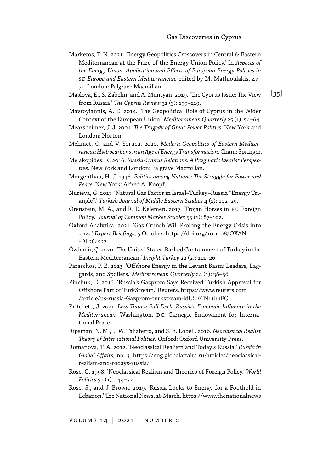- Marketos, T. N. 2021. 'Energy Geopolitics Crossovers in Central & Eastern Mediterranean at the Prize of the Energy Union Policy.' In *Aspects of the Energy Union: Application and Effects of European Energy Policies in se Europe and Eastern Mediterranean,* edited by M. Mathioulakis, 47– 71. London: Palgrave Macmillan.
- Maslova, E., S. Zabelin, and A. Muntyan. 2019. 'The Cyprus Issue: The View from Russia.' *The Cyprus Review* 31 (3): 199–219.
- Mavroyiannis, A. D. 2014. 'The Geopolitical Role of Cyprus in the Wider Context of the European Union.' Mediterranean Quarterly 25 (1): 54-64.
- Mearsheimer, J. J. 2001. *The Tragedy of Great Power Politics.* New York and London: Norton.
- Mehmet, O. and V. Yorucu. 2020. *Modern Geopolitics of Eastern Mediterranean Hydrocarbons in an Age of Energy Transformation.*Cham: Springer.
- Melakopides, K. 2016. *Russia-Cyprus Relations: A Pragmatic Idealist Perspective.* New York and London: Palgrave Macmillan.
- Morgenthau, H. J. 1948. *Politics among Nations: The Struggle for Power and Peace.* New York: Alfred A. Knopf.
- Nurieva, G. 2017. 'Natural Gas Factor in Israel–Turkey–Russia "Energy Triangle".' *Turkish Journal of Middle Eastern Studies* 4 (1): 102–29.
- Orenstein, M. A., and R. D. Kelemen. 2017. 'Trojan Horses in eu Foreign Policy.' *Journal of Common Market Studies* 55 (1): 87–102.
- Oxford Analytica. 2021. 'Gas Crunch Will Prolong the Energy Crisis into 2022.' *Expert Briefings,* 5 October. https://doi.org/10.1108/OXAN -DB264527.
- Özdemir, Ç. 2020. 'The United States-Backed Containment of Turkey in the Eastern Mediterranean.' *Insight Turkey* 22 (2): 111–26.
- Paraschos, P. E. 2013. 'Offshore Energy in the Levant Basin: Leaders, Laggards, and Spoilers.' *Mediterranean Quarterly* 24 (1): 38–56.
- Pinchuk, D. 2016. 'Russia's Gazprom Says Received Turkish Approval for Offshore Part of TurkStream.' Reuters. https://www.reuters.com /article/us-russia-Gazprom-turkstream-idUSKCN11K1FQ.
- Pritchett, J. 2021. *Less Than a Full Deck: Russia's Economic Influence in the Mediterranean.* Washington, DC: Carnegie Endowment for International Peace.
- Ripsman, N. M., J. W. Taliaferro, and S. E. Lobell. 2016. *Neoclassical Realist Theory of International Politics.* Oxford: Oxford University Press.
- Romanova, T. A. 2012. 'Neoclassical Realism and Today's Russia.' *Russia in Global Affairs,* no. 3. https://eng.globalaffairs.ru/articles/neoclassicalrealism-and-todays-russia/
- Rose, G. 1998. 'Neoclassical Realism and Theories of Foreign Policy.' *World Politics* 51 (1): 144–72.
- Rose, S., and J. Brown. 2019. 'Russia Looks to Energy for a Foothold in Lebanon.'The National News, 18 March. https://www.thenationalnews

volume 14 | 2021 | number 2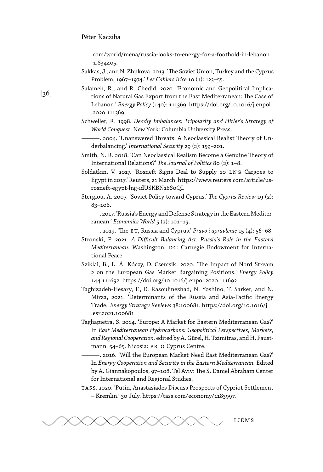.com/world/mena/russia-looks-to-energy-for-a-foothold-in-lebanon -1.834405.

- Sakkas, J., and N. Zhukova. 2013. 'The Soviet Union, Turkey and the Cyprus Problem, 1967–1974.' *Les Cahiers Irice* 10 (1): 123–55.
- Salameh, R., and R. Chedid. 2020. 'Economic and Geopolitical Implications of Natural Gas Export from the East Mediterranean: The Case of Lebanon.' *Energy Policy* (140): 111369. https://doi.org/10.1016/j.enpol .2020.111369.
- Schweller, R. 1998. *Deadly Imbalances: Tripolarity and Hitler's Strategy of World Conquest.* New York: Columbia University Press.
	- ———. 2004. 'Unanswered Threats: A Neoclassical Realist Theory of Underbalancing.' *International Security* 29 (2): 159–201.
- Smith, N. R. 2018. 'Can Neoclassical Realism Become a Genuine Theory of International Relations?' *The Journal of Politics* 80 (2): 1–8.
- Soldatkin, V. 2017. 'Rosneft Signs Deal to Supply 10 LNG Cargoes to Egypt in 2017.' Reuters, 21 March. https://www.reuters.com/article/usrosneft-egypt-lng-idUSKBN16S0QI.
- Stergiou, A. 2007. 'Soviet Policy toward Cyprus.' *The Cyprus Review* 19 (2): 83–106.
	- ———. 2017. 'Russia's Energy and Defense Strategy in the Eastern Mediterranean.' *Economics World* 5 (2): 101–19.
- ———. 2019. 'The eu, Russia and Cyprus.' *Pravo i upravlenie* 15 (4): 56–68.
- Stronski, P. 2021. *A Difficult Balancing Act: Russia's Role in the Eastern Mediterranean.* Washington, DC: Carnegie Endowment for International Peace.
- Sziklai, B., L. Á. Kóczy, D. Csercsik. 2020. 'The Impact of Nord Stream 2 on the European Gas Market Bargaining Positions.' *Energy Policy* 144:111692. https://doi.org/10.1016/j.enpol.2020.111692
- Taghizadeh-Hesary, F., E. Rasoulinezhad, N. Yoshino, T. Sarker, and N. Mirza, 2021. 'Determinants of the Russia and Asia-Pacific Energy Trade.' *Energy Strategy Reviews* 38:100681. https://doi.org/10.1016/j .esr.2021.100681
- Tagliapietra, S. 2014. 'Europe: A Market for Eastern Mediterranean Gas?' In *East Mediterranean Hydrocarbons: Geopolitical Perspectives, Markets, and Regional Cooperation,* edited by A. Gürel, H. Tzimitras, and H. Faustmann, 54-65. Nicosia: PRIO Cyprus Centre.

———. 2016. 'Will the European Market Need East Mediterranean Gas?' In *Energy Cooperation and Security in the Eastern Mediterranean.* Edited by A. Giannakopoulos, 97–108. Tel Aviv: The S. Daniel Abraham Center for International and Regional Studies.

tass. 2020. 'Putin, Anastasiades Discuss Prospects of Cypriot Settlement – Kremlin.' 30 July. https://tass.com/economy/1183997.



### $[36]$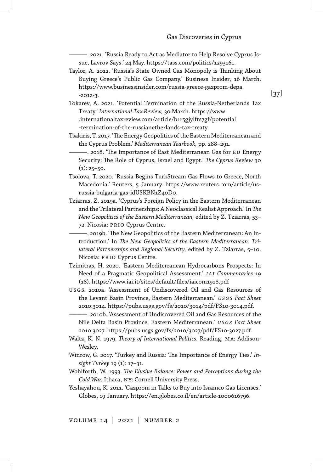———. 2021. 'Russia Ready to Act as Mediator to Help Resolve Cyprus Issue, Lavrov Says.' 24 May. https://tass.com/politics/1293161.

- Taylor, A. 2012. 'Russia's State Owned Gas Monopoly is Thinking About Buying Greece's Public Gas Company.' Business Insider, 16 March. https://www.businessinsider.com/russia-greece-gazprom-depa -2012-3.
- Tokarev, A. 2021. 'Potential Termination of the Russia-Netherlands Tax Treaty.' *International Tax Review,* 30 March. https://www .internationaltaxreview.com/article/b1r5gjylfts7gf/potential -termination-of-the-russianetherlands-tax-treaty.
- Tsakiris, T. 2017. 'The Energy Geopolitics of the Eastern Mediterranean and the Cyprus Problem.' *Mediterranean Yearbook,* pp. 288–291.
	- ———. 2018. 'The Importance of East Mediterranean Gas for eu Energy Security: The Role of Cyprus, Israel and Egypt.' The Cyprus Review 30  $(1): 25 - 50.$
- Tsolova, T. 2020. 'Russia Begins TurkStream Gas Flows to Greece, North Macedonia.' Reuters, 5 January. https://www.reuters.com/article/usrussia-bulgaria-gas-idUSKBN1Z40D0.
- Tziarras, Z. 2019a. 'Cyprus's Foreign Policy in the Eastern Mediterranean and the Trilateral Partnerships: A Neoclassical Realist Approach.' In *The New Geopolitics of the Eastern Mediterranean,* edited by Z. Tziarras, 53– 72. Nicosia: prio Cyprus Centre.
	- ———. 2019b. 'The New Geopolitics of the Eastern Mediterranean: An Introduction.' In *The New Geopolitics of the Eastern Mediterranean: Trilateral Partnerships and Regional Security,* edited by Z. Tziarras, 5–10. Nicosia: prio Cyprus Centre.
- Tzimitras, H. 2020. 'Eastern Mediterranean Hydrocarbons Prospects: In Need of a Pragmatic Geopolitical Assessment.' *i ai Commentaries* 19 (18). https://www.iai.it/sites/default/files/iaicom1918.pdf
- USGS. 2010a. 'Assessment of Undiscovered Oil and Gas Resources of the Levant Basin Province, Eastern Mediterranean.' *usg s Fact Sheet* 2010:3014. https://pubs.usgs.gov/fs/2010/3014/pdf/FS10-3014.pdf.
- ———. 2010b. 'Assessment of Undiscovered Oil and Gas Resources of the Nile Delta Basin Province, Eastern Mediterranean.' *u sg s Fact Sheet* 2010:3027. https://pubs.usgs.gov/fs/2010/3027/pdf/FS10-3027.pdf.
- Waltz, K. N. 1979. *Theory of International Politics.* Reading, ma: Addison-Wesley.
- Winrow, G. 2017. 'Turkey and Russia: The Importance of Energy Ties.' *Insight Turkey* 19 (1): 17–31.
- Wohlforth, W. 1993. *The Elusive Balance: Power and Perceptions during the Cold War.* Ithaca, ny: Cornell University Press.
- Yeshayahou, K. 2011. 'Gazprom in Talks to Buy into Isramco Gas Licenses.' Globes, 19 January. https://en.globes.co.il/en/article-1000616796.

volume 14 | 2021 | number 2

[37]